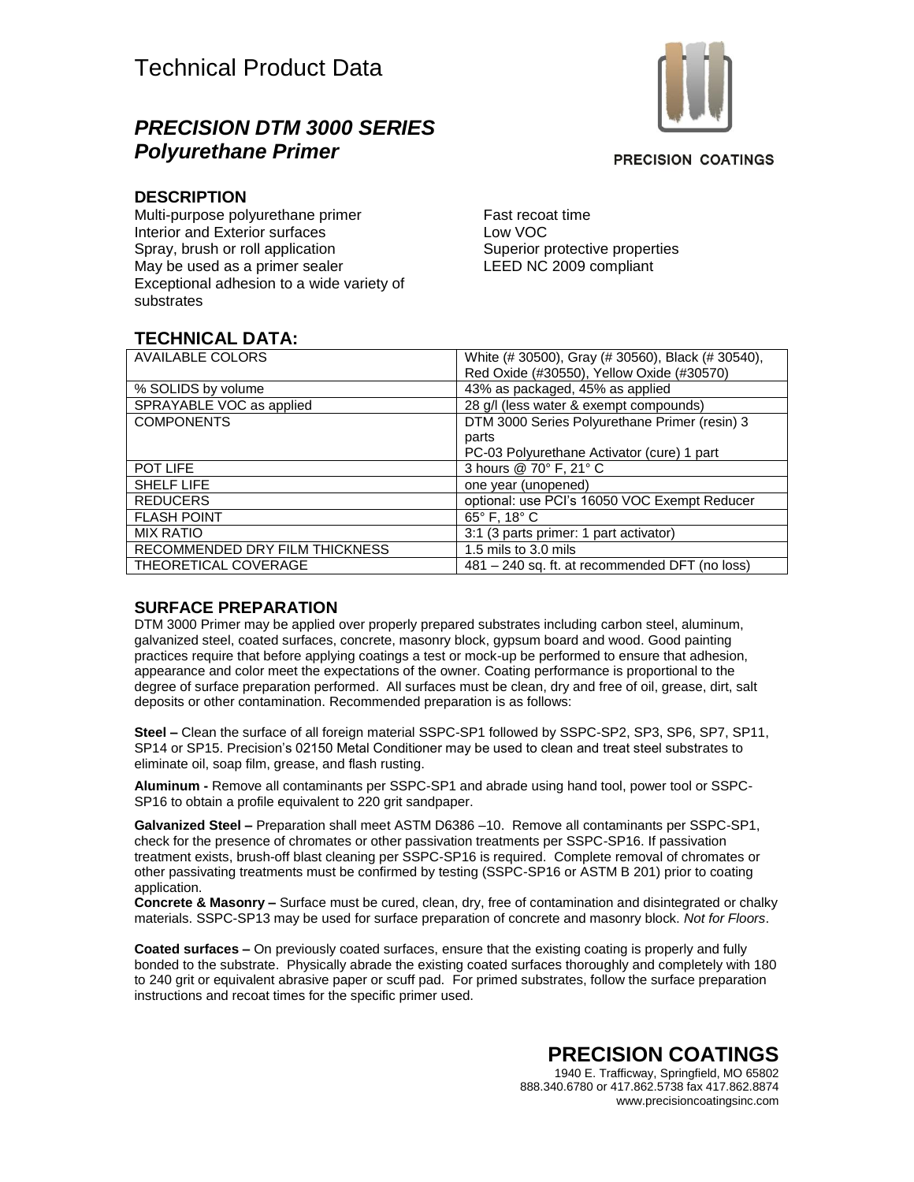## *PRECISION DTM 3000 SERIES Polyurethane Primer*



**PRECISION COATINGS** 

#### **DESCRIPTION**

Multi-purpose polyurethane primer Interior and Exterior surfaces Spray, brush or roll application May be used as a primer sealer Exceptional adhesion to a wide variety of substrates

Fast recoat time Low VOC Superior protective properties LEED NC 2009 compliant

### **TECHNICAL DATA:**

| <b>AVAILABLE COLORS</b>        | White (# 30500), Gray (# 30560), Black (# 30540), |
|--------------------------------|---------------------------------------------------|
|                                | Red Oxide (#30550), Yellow Oxide (#30570)         |
| % SOLIDS by volume             | 43% as packaged, 45% as applied                   |
| SPRAYABLE VOC as applied       | 28 g/l (less water & exempt compounds)            |
| <b>COMPONENTS</b>              | DTM 3000 Series Polyurethane Primer (resin) 3     |
|                                | parts                                             |
|                                | PC-03 Polyurethane Activator (cure) 1 part        |
| POT LIFE                       | 3 hours @ 70° F, 21° C                            |
| <b>SHELF LIFE</b>              | one year (unopened)                               |
| <b>REDUCERS</b>                | optional: use PCI's 16050 VOC Exempt Reducer      |
| <b>FLASH POINT</b>             | $65^\circ$ F. 18 $^\circ$ C                       |
| <b>MIX RATIO</b>               | 3:1 (3 parts primer: 1 part activator)            |
| RECOMMENDED DRY FILM THICKNESS | 1.5 mils to 3.0 mils                              |
| THEORETICAL COVERAGE           | 481 - 240 sq. ft. at recommended DFT (no loss)    |

### **SURFACE PREPARATION**

DTM 3000 Primer may be applied over properly prepared substrates including carbon steel, aluminum, galvanized steel, coated surfaces, concrete, masonry block, gypsum board and wood. Good painting practices require that before applying coatings a test or mock-up be performed to ensure that adhesion, appearance and color meet the expectations of the owner. Coating performance is proportional to the degree of surface preparation performed. All surfaces must be clean, dry and free of oil, grease, dirt, salt deposits or other contamination. Recommended preparation is as follows:

**Steel –** Clean the surface of all foreign material SSPC-SP1 followed by SSPC-SP2, SP3, SP6, SP7, SP11, SP14 or SP15. Precision's 02150 Metal Conditioner may be used to clean and treat steel substrates to eliminate oil, soap film, grease, and flash rusting.

**Aluminum -** Remove all contaminants per SSPC-SP1 and abrade using hand tool, power tool or SSPC-SP16 to obtain a profile equivalent to 220 grit sandpaper.

**Galvanized Steel –** Preparation shall meet ASTM D6386 –10. Remove all contaminants per SSPC-SP1, check for the presence of chromates or other passivation treatments per SSPC-SP16. If passivation treatment exists, brush-off blast cleaning per SSPC-SP16 is required. Complete removal of chromates or other passivating treatments must be confirmed by testing (SSPC-SP16 or ASTM B 201) prior to coating application.

**Concrete & Masonry –** Surface must be cured, clean, dry, free of contamination and disintegrated or chalky materials. SSPC-SP13 may be used for surface preparation of concrete and masonry block. *Not for Floors*.

**Coated surfaces –** On previously coated surfaces, ensure that the existing coating is properly and fully bonded to the substrate. Physically abrade the existing coated surfaces thoroughly and completely with 180 to 240 grit or equivalent abrasive paper or scuff pad. For primed substrates, follow the surface preparation instructions and recoat times for the specific primer used.

> **PRECISION COATINGS** 1940 E. Trafficway, Springfield, MO 65802 888.340.6780 or 417.862.5738 fax 417.862.8874 www.precisioncoatingsinc.com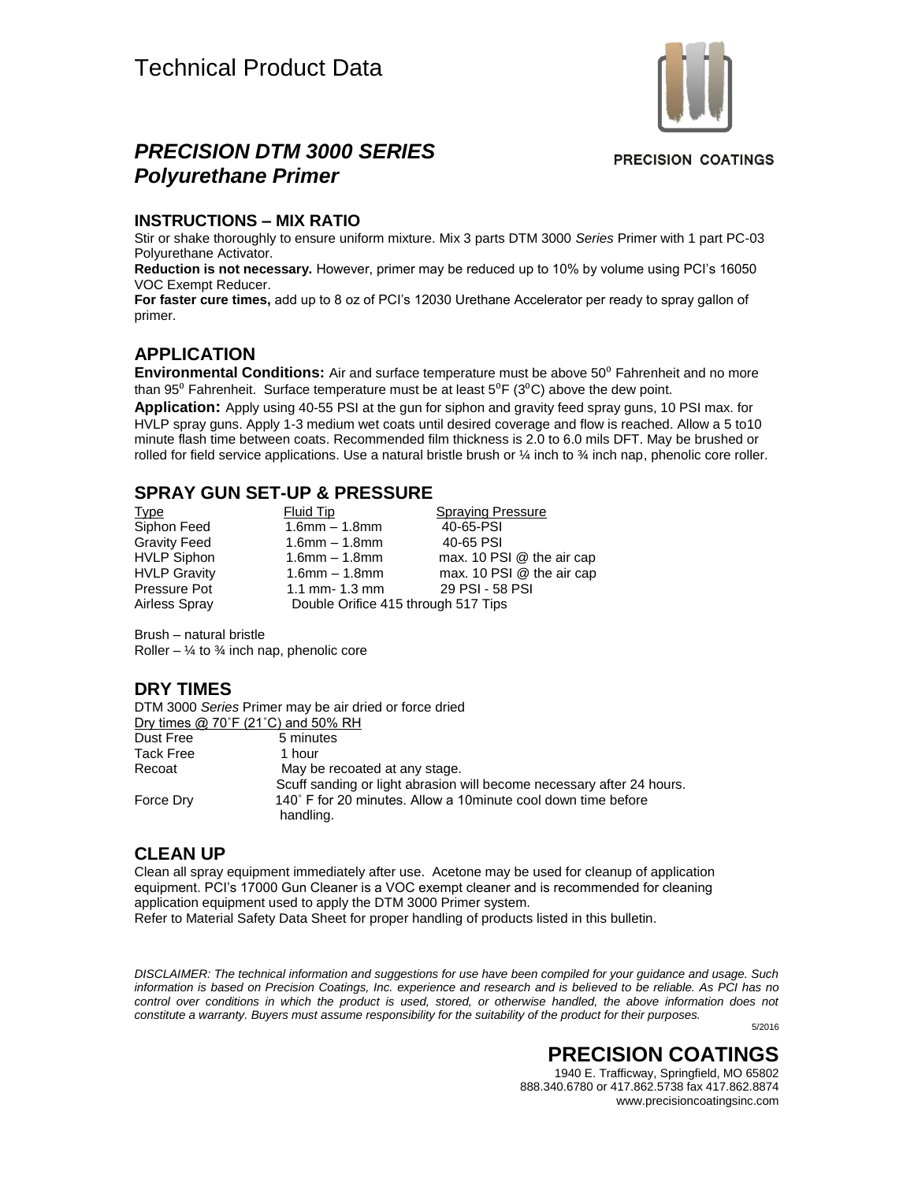

### *PRECISION DTM 3000 SERIES Polyurethane Primer*

**PRECISION COATINGS** 

#### **INSTRUCTIONS – MIX RATIO**

Stir or shake thoroughly to ensure uniform mixture. Mix 3 parts DTM 3000 *Series* Primer with 1 part PC-03 Polyurethane Activator.

**Reduction is not necessary.** However, primer may be reduced up to 10% by volume using PCI's 16050 VOC Exempt Reducer.

**For faster cure times,** add up to 8 oz of PCI's 12030 Urethane Accelerator per ready to spray gallon of primer.

#### **APPLICATION**

**Environmental Conditions:** Air and surface temperature must be above 50<sup>°</sup> Fahrenheit and no more than 95<sup>°</sup> Fahrenheit. Surface temperature must be at least  $5^{\circ}$ F (3<sup>°</sup>C) above the dew point.

**Application:** Apply using 40-55 PSI at the gun for siphon and gravity feed spray guns, 10 PSI max. for HVLP spray guns. Apply 1-3 medium wet coats until desired coverage and flow is reached. Allow a 5 to10 minute flash time between coats. Recommended film thickness is 2.0 to 6.0 mils DFT. May be brushed or rolled for field service applications. Use a natural bristle brush or  $\frac{1}{4}$  inch to  $\frac{3}{4}$  inch nap, phenolic core roller.

#### **SPRAY GUN SET-UP & PRESSURE**

| <u>Type</u>         | Fluid Tip                           | <b>Spraying Pressure</b>  |
|---------------------|-------------------------------------|---------------------------|
| Siphon Feed         | $1.6$ mm $- 1.8$ mm                 | 40-65-PSI                 |
| Gravity Feed        | $1.6$ mm $- 1.8$ mm                 | 40-65 PSI                 |
| <b>HVLP Siphon</b>  | $1.6$ mm $- 1.8$ mm                 | max. 10 PSI @ the air cap |
| <b>HVLP Gravity</b> | $1.6$ mm $- 1.8$ mm                 | max. 10 PSI @ the air cap |
| Pressure Pot        | 1.1 mm- $1.3$ mm                    | 29 PSI - 58 PSI           |
| Airless Spray       | Double Orifice 415 through 517 Tips |                           |

Brush – natural bristle Roller –  $\frac{1}{4}$  to  $\frac{3}{4}$  inch nap, phenolic core

#### **DRY TIMES**

DTM 3000 *Series* Primer may be air dried or force dried Dry times @ 70°F (21°C) and 50% RH Dust Free 5 minutes Tack Free 1 hour Recoat May be recoated at any stage. Scuff sanding or light abrasion will become necessary after 24 hours. Force Dry 140° F for 20 minutes. Allow a 10minute cool down time before handling.

#### **CLEAN UP**

Clean all spray equipment immediately after use. Acetone may be used for cleanup of application equipment. PCI's 17000 Gun Cleaner is a VOC exempt cleaner and is recommended for cleaning application equipment used to apply the DTM 3000 Primer system. Refer to Material Safety Data Sheet for proper handling of products listed in this bulletin.

*DISCLAIMER: The technical information and suggestions for use have been compiled for your guidance and usage. Such information is based on Precision Coatings, Inc. experience and research and is believed to be reliable. As PCI has no*  control over conditions in which the product is used, stored, or otherwise handled, the above information does not *constitute a warranty. Buyers must assume responsibility for the suitability of the product for their purposes.*

5/2016

# **PRECISION COATINGS**

1940 E. Trafficway, Springfield, MO 65802 888.340.6780 or 417.862.5738 fax 417.862.8874 www.precisioncoatingsinc.com